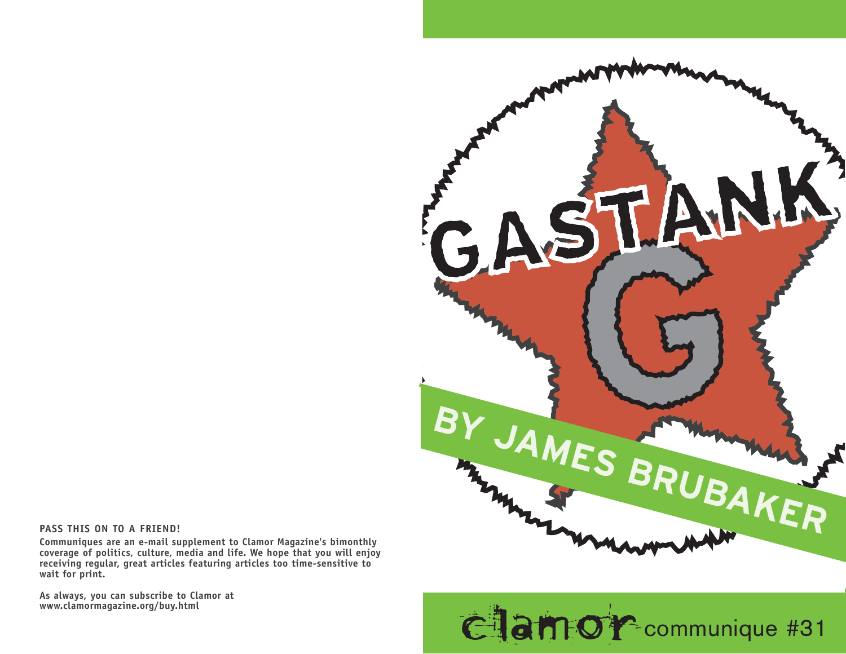

## **PASS THIS ON TO A FRIEND!**

**Communiques are an e-mail supplement to Clamor Magazine's bimonthly coverage of politics, culture, media and life. We hope that you will enjoy receiving regular, great articles featuring articles too time-sensitive to wait for print.** 

**As always, you can subscribe to Clamor at**

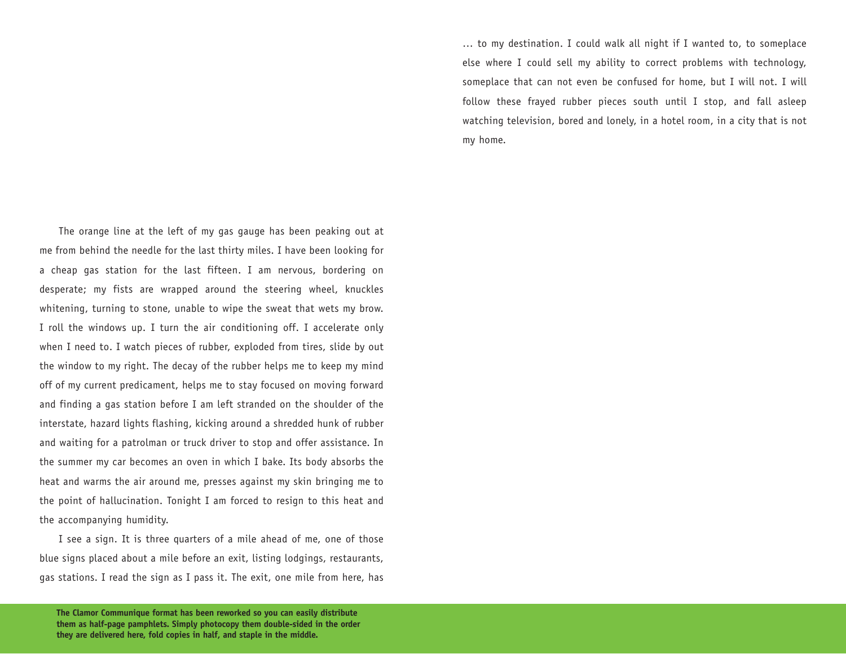… to my destination. I could walk all night if I wanted to, to someplace else where I could sell my ability to correct problems with technology, someplace that can not even be confused for home, but I will not. I will follow these frayed rubber pieces south until I stop, and fall asleep watching television, bored and lonely, in a hotel room, in a city that is not my home.

The orange line at the left of my gas gauge has been peaking out at me from behind the needle for the last thirty miles. I have been looking for a cheap gas station for the last fifteen. I am nervous, bordering on desperate; my fists are wrapped around the steering wheel, knuckles whitening, turning to stone, unable to wipe the sweat that wets my brow. I roll the windows up. I turn the air conditioning off. I accelerate only when I need to. I watch pieces of rubber, exploded from tires, slide by out the window to my right. The decay of the rubber helps me to keep my mind off of my current predicament, helps me to stay focused on moving forward and finding a gas station before I am left stranded on the shoulder of the interstate, hazard lights flashing, kicking around a shredded hunk of rubber and waiting for a patrolman or truck driver to stop and offer assistance. In the summer my car becomes an oven in which I bake. Its body absorbs the heat and warms the air around me, presses against my skin bringing me to the point of hallucination. Tonight I am forced to resign to this heat and the accompanying humidity.

I see a sign. It is three quarters of a mile ahead of me, one of those blue signs placed about a mile before an exit, listing lodgings, restaurants, gas stations. I read the sign as I pass it. The exit, one mile from here, has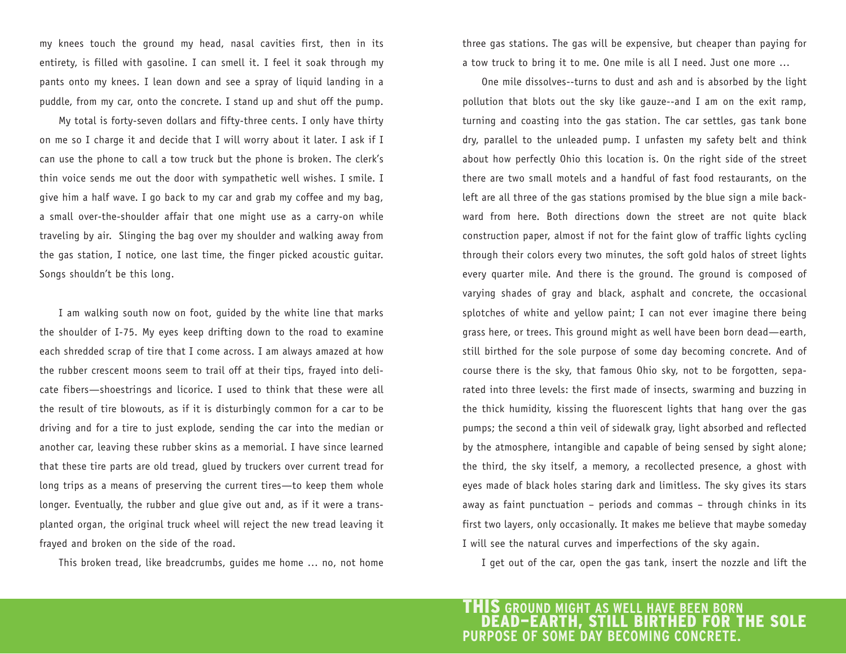my knees touch the ground my head, nasal cavities first, then in its entirety, is filled with gasoline. I can smell it. I feel it soak through my pants onto my knees. I lean down and see a spray of liquid landing in a puddle, from my car, onto the concrete. I stand up and shut off the pump.

My total is forty-seven dollars and fifty-three cents. I only have thirty on me so I charge it and decide that I will worry about it later. I ask if I can use the phone to call a tow truck but the phone is broken. The clerk's thin voice sends me out the door with sympathetic well wishes. I smile. I give him a half wave. I go back to my car and grab my coffee and my bag, a small over-the-shoulder affair that one might use as a carry-on while traveling by air. Slinging the bag over my shoulder and walking away from the gas station, I notice, one last time, the finger picked acoustic guitar. Songs shouldn't be this long.

I am walking south now on foot, guided by the white line that marks the shoulder of I-75. My eyes keep drifting down to the road to examine each shredded scrap of tire that I come across. I am always amazed at how the rubber crescent moons seem to trail off at their tips, frayed into delicate fibers—shoestrings and licorice. I used to think that these were all the result of tire blowouts, as if it is disturbingly common for a car to be driving and for a tire to just explode, sending the car into the median or another car, leaving these rubber skins as a memorial. I have since learned that these tire parts are old tread, glued by truckers over current tread for long trips as a means of preserving the current tires—to keep them whole longer. Eventually, the rubber and glue give out and, as if it were a transplanted organ, the original truck wheel will reject the new tread leaving it frayed and broken on the side of the road.

This broken tread, like breadcrumbs, guides me home … no, not home

three gas stations. The gas will be expensive, but cheaper than paying for a tow truck to bring it to me. One mile is all I need. Just one more …

One mile dissolves--turns to dust and ash and is absorbed by the light pollution that blots out the sky like gauze--and I am on the exit ramp, turning and coasting into the gas station. The car settles, gas tank bone dry, parallel to the unleaded pump. I unfasten my safety belt and think about how perfectly Ohio this location is. On the right side of the street there are two small motels and a handful of fast food restaurants, on the left are all three of the gas stations promised by the blue sign a mile backward from here. Both directions down the street are not quite black construction paper, almost if not for the faint glow of traffic lights cycling through their colors every two minutes, the soft gold halos of street lights every quarter mile. And there is the ground. The ground is composed of varying shades of gray and black, asphalt and concrete, the occasional splotches of white and yellow paint; I can not ever imagine there being grass here, or trees. This ground might as well have been born dead—earth, still birthed for the sole purpose of some day becoming concrete. And of course there is the sky, that famous Ohio sky, not to be forgotten, separated into three levels: the first made of insects, swarming and buzzing in the thick humidity, kissing the fluorescent lights that hang over the gas pumps; the second a thin veil of sidewalk gray, light absorbed and reflected by the atmosphere, intangible and capable of being sensed by sight alone; the third, the sky itself, a memory, a recollected presence, a ghost with eyes made of black holes staring dark and limitless. The sky gives its stars away as faint punctuation – periods and commas – through chinks in its first two layers, only occasionally. It makes me believe that maybe someday I will see the natural curves and imperfections of the sky again.

I get out of the car, open the gas tank, insert the nozzle and lift the

THIS **GROUND MIGHT AS WELL HAVE BEEN BORN** DEAD—EARTH, STILL BIRTHED FOR THE SOLE **PURPOSE OF SOME DAY BECOMING CONCRETE.**